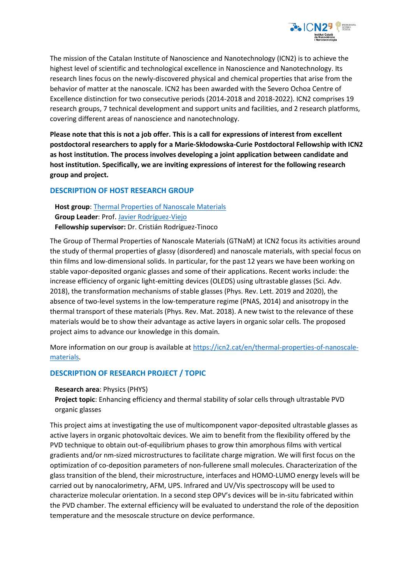

The mission of the Catalan Institute of Nanoscience and Nanotechnology (ICN2) is to achieve the highest level of scientific and technological excellence in Nanoscience and Nanotechnology. Its research lines focus on the newly-discovered physical and chemical properties that arise from the behavior of matter at the nanoscale. ICN2 has been awarded with the Severo Ochoa Centre of Excellence distinction for two consecutive periods (2014-2018 and 2018-2022). ICN2 comprises 19 research groups, 7 technical development and support units and facilities, and 2 research platforms, covering different areas of nanoscience and nanotechnology.

**Please note that this is not a job offer. This is a call for expressions of interest from excellent postdoctoral researchers to apply for a Marie-Skłodowska-Curie Postdoctoral Fellowship with ICN2 as host institution. The process involves developing a joint application between candidate and host institution. Specifically, we are inviting expressions of interest for the following research group and project.**

## **DESCRIPTION OF HOST RESEARCH GROUP**

**Host group**: [Thermal Properties of Nanoscale Materials](https://icn2.cat/en/thermal-properties-of-nanoscale-materials) **Group Leader**: Prof[. Javier Rodríguez-Viejo](https://icn2.cat/en/thermal-properties-of-nanoscale-materials/javier-rodriguez-viejo) **Fellowship supervisor:** Dr. Cristián Rodríguez-Tinoco

The Group of Thermal Properties of Nanoscale Materials (GTNaM) at ICN2 focus its activities around the study of thermal properties of glassy (disordered) and nanoscale materials, with special focus on thin films and low-dimensional solids. In particular, for the past 12 years we have been working on stable vapor-deposited organic glasses and some of their applications. Recent works include: the increase efficiency of organic light-emitting devices (OLEDS) using ultrastable glasses (Sci. Adv. 2018), the transformation mechanisms of stable glasses (Phys. Rev. Lett. 2019 and 2020), the absence of two-level systems in the low-temperature regime (PNAS, 2014) and anisotropy in the thermal transport of these materials (Phys. Rev. Mat. 2018). A new twist to the relevance of these materials would be to show their advantage as active layers in organic solar cells. The proposed project aims to advance our knowledge in this domain.

More information on our group is available at [https://icn2.cat/en/thermal-properties-of-nanoscale](https://icn2.cat/en/thermal-properties-of-nanoscale-materials)[materials.](https://icn2.cat/en/thermal-properties-of-nanoscale-materials)

## **DESCRIPTION OF RESEARCH PROJECT / TOPIC**

## **Research area**: Physics (PHYS)

**Project topic**: Enhancing efficiency and thermal stability of solar cells through ultrastable PVD organic glasses

This project aims at investigating the use of multicomponent vapor-deposited ultrastable glasses as active layers in organic photovoltaic devices. We aim to benefit from the flexibility offered by the PVD technique to obtain out-of-equilibrium phases to grow thin amorphous films with vertical gradients and/or nm-sized microstructures to facilitate charge migration. We will first focus on the optimization of co-deposition parameters of non-fullerene small molecules. Characterization of the glass transition of the blend, their microstructure, interfaces and HOMO-LUMO energy levels will be carried out by nanocalorimetry, AFM, UPS. Infrared and UV/Vis spectroscopy will be used to characterize molecular orientation. In a second step OPV's devices will be in-situ fabricated within the PVD chamber. The external efficiency will be evaluated to understand the role of the deposition temperature and the mesoscale structure on device performance.